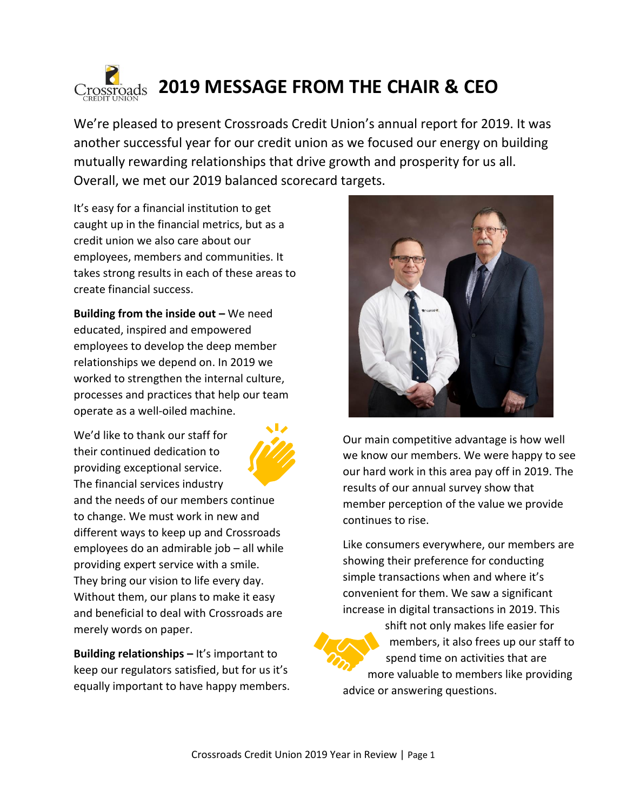

We're pleased to present Crossroads Credit Union's annual report for 2019. It was another successful year for our credit union as we focused our energy on building mutually rewarding relationships that drive growth and prosperity for us all. Overall, we met our 2019 balanced scorecard targets.

It's easy for a financial institution to get caught up in the financial metrics, but as a credit union we also care about our employees, members and communities. It takes strong results in each of these areas to create financial success.

**Building from the inside out –** We need educated, inspired and empowered employees to develop the deep member relationships we depend on. In 2019 we worked to strengthen the internal culture, processes and practices that help our team operate as a well-oiled machine.

We'd like to thank our staff for their continued dedication to providing exceptional service. The financial services industry



and the needs of our members continue to change. We must work in new and different ways to keep up and Crossroads employees do an admirable job – all while providing expert service with a smile. They bring our vision to life every day. Without them, our plans to make it easy and beneficial to deal with Crossroads are merely words on paper.

**Building relationships –** It's important to keep our regulators satisfied, but for us it's equally important to have happy members.



Our main competitive advantage is how well we know our members. We were happy to see our hard work in this area pay off in 2019. The results of our annual survey show that member perception of the value we provide continues to rise.

Like consumers everywhere, our members are showing their preference for conducting simple transactions when and where it's convenient for them. We saw a significant increase in digital transactions in 2019. This



shift not only makes life easier for members, it also frees up our staff to spend time on activities that are more valuable to members like providing advice or answering questions.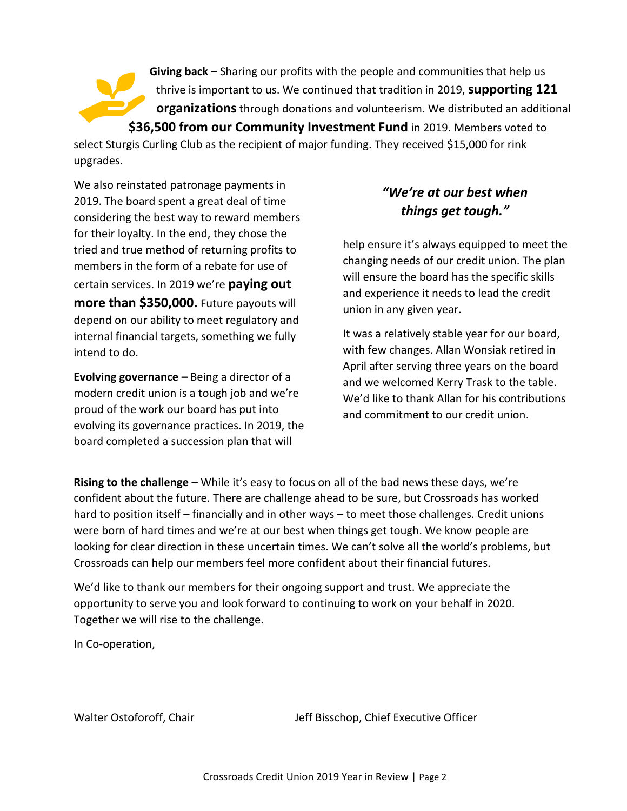**Giving back –** Sharing our profits with the people and communities that help us thrive is important to us. We continued that tradition in 2019, **supporting 121 organizations**through donations and volunteerism. We distributed an additional **\$36,500 from our Community Investment Fund** in 2019. Members voted to

select Sturgis Curling Club as the recipient of major funding. They received \$15,000 for rink upgrades.

We also reinstated patronage payments in 2019. The board spent a great deal of time considering the best way to reward members for their loyalty. In the end, they chose the tried and true method of returning profits to members in the form of a rebate for use of certain services. In 2019 we're **paying out more than \$350,000.** Future payouts will depend on our ability to meet regulatory and internal financial targets, something we fully intend to do.

**Evolving governance –** Being a director of a modern credit union is a tough job and we're proud of the work our board has put into evolving its governance practices. In 2019, the board completed a succession plan that will

## *"We're at our best when things get tough."*

help ensure it's always equipped to meet the changing needs of our credit union. The plan will ensure the board has the specific skills and experience it needs to lead the credit union in any given year.

It was a relatively stable year for our board, with few changes. Allan Wonsiak retired in April after serving three years on the board and we welcomed Kerry Trask to the table. We'd like to thank Allan for his contributions and commitment to our credit union.

**Rising to the challenge –** While it's easy to focus on all of the bad news these days, we're confident about the future. There are challenge ahead to be sure, but Crossroads has worked hard to position itself – financially and in other ways – to meet those challenges. Credit unions were born of hard times and we're at our best when things get tough. We know people are looking for clear direction in these uncertain times. We can't solve all the world's problems, but Crossroads can help our members feel more confident about their financial futures.

We'd like to thank our members for their ongoing support and trust. We appreciate the opportunity to serve you and look forward to continuing to work on your behalf in 2020. Together we will rise to the challenge.

In Co-operation,

Walter Ostoforoff, Chair The Jeff Bisschop, Chief Executive Officer